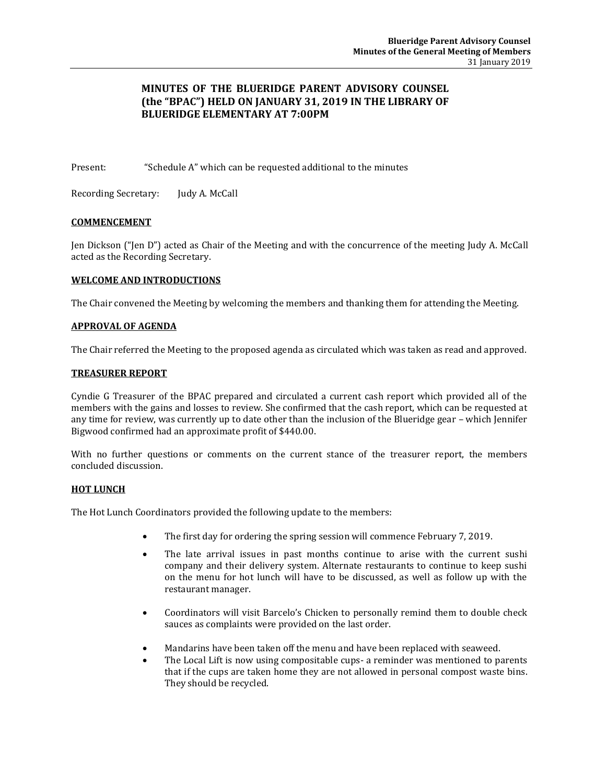# **MINUTES OF THE BLUERIDGE PARENT ADVISORY COUNSEL (the "BPAC") HELD ON JANUARY 31, 2019 IN THE LIBRARY OF BLUERIDGE ELEMENTARY AT 7:00PM**

Present: "Schedule A" which can be requested additional to the minutes

Recording Secretary: Judy A. McCall

## **COMMENCEMENT**

Jen Dickson ("Jen D") acted as Chair of the Meeting and with the concurrence of the meeting Judy A. McCall acted as the Recording Secretary.

## **WELCOME AND INTRODUCTIONS**

The Chair convened the Meeting by welcoming the members and thanking them for attending the Meeting.

## **APPROVAL OF AGENDA**

The Chair referred the Meeting to the proposed agenda as circulated which was taken as read and approved.

## **TREASURER REPORT**

Cyndie G Treasurer of the BPAC prepared and circulated a current cash report which provided all of the members with the gains and losses to review. She confirmed that the cash report, which can be requested at any time for review, was currently up to date other than the inclusion of the Blueridge gear – which Jennifer Bigwood confirmed had an approximate profit of \$440.00.

With no further questions or comments on the current stance of the treasurer report, the members concluded discussion.

## **HOT LUNCH**

The Hot Lunch Coordinators provided the following update to the members:

- The first day for ordering the spring session will commence February 7, 2019.
- The late arrival issues in past months continue to arise with the current sushi company and their delivery system. Alternate restaurants to continue to keep sushi on the menu for hot lunch will have to be discussed, as well as follow up with the restaurant manager.
- Coordinators will visit Barcelo's Chicken to personally remind them to double check sauces as complaints were provided on the last order.
- Mandarins have been taken off the menu and have been replaced with seaweed.
- The Local Lift is now using compositable cups- a reminder was mentioned to parents that if the cups are taken home they are not allowed in personal compost waste bins. They should be recycled.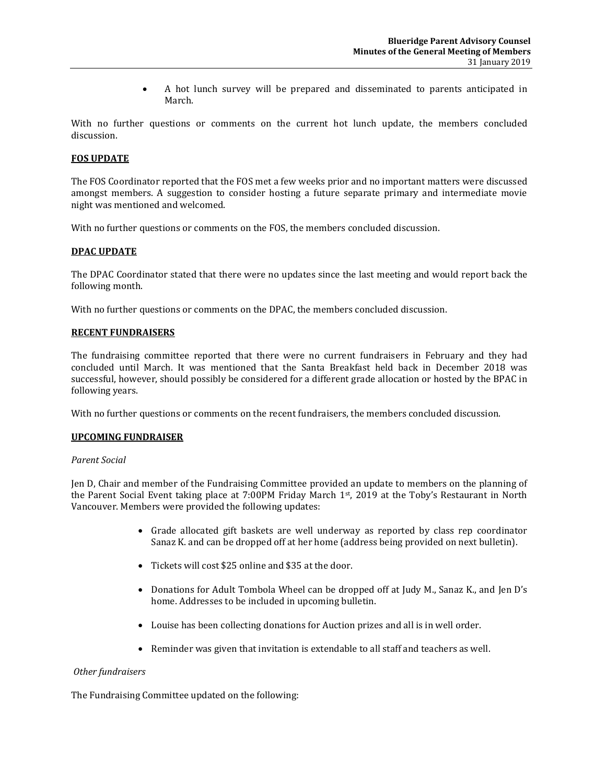A hot lunch survey will be prepared and disseminated to parents anticipated in March.

With no further questions or comments on the current hot lunch update, the members concluded discussion.

### **FOS UPDATE**

The FOS Coordinator reported that the FOS met a few weeks prior and no important matters were discussed amongst members. A suggestion to consider hosting a future separate primary and intermediate movie night was mentioned and welcomed.

With no further questions or comments on the FOS, the members concluded discussion.

### **DPAC UPDATE**

The DPAC Coordinator stated that there were no updates since the last meeting and would report back the following month.

With no further questions or comments on the DPAC, the members concluded discussion.

### **RECENT FUNDRAISERS**

The fundraising committee reported that there were no current fundraisers in February and they had concluded until March. It was mentioned that the Santa Breakfast held back in December 2018 was successful, however, should possibly be considered for a different grade allocation or hosted by the BPAC in following years.

With no further questions or comments on the recent fundraisers, the members concluded discussion.

#### **UPCOMING FUNDRAISER**

#### *Parent Social*

Jen D, Chair and member of the Fundraising Committee provided an update to members on the planning of the Parent Social Event taking place at 7:00PM Friday March 1st, 2019 at the Toby's Restaurant in North Vancouver. Members were provided the following updates:

- Grade allocated gift baskets are well underway as reported by class rep coordinator Sanaz K. and can be dropped off at her home (address being provided on next bulletin).
- Tickets will cost \$25 online and \$35 at the door.
- Donations for Adult Tombola Wheel can be dropped off at Judy M., Sanaz K., and Jen D's home. Addresses to be included in upcoming bulletin.
- Louise has been collecting donations for Auction prizes and all is in well order.
- Reminder was given that invitation is extendable to all staff and teachers as well.

## *Other fundraisers*

The Fundraising Committee updated on the following: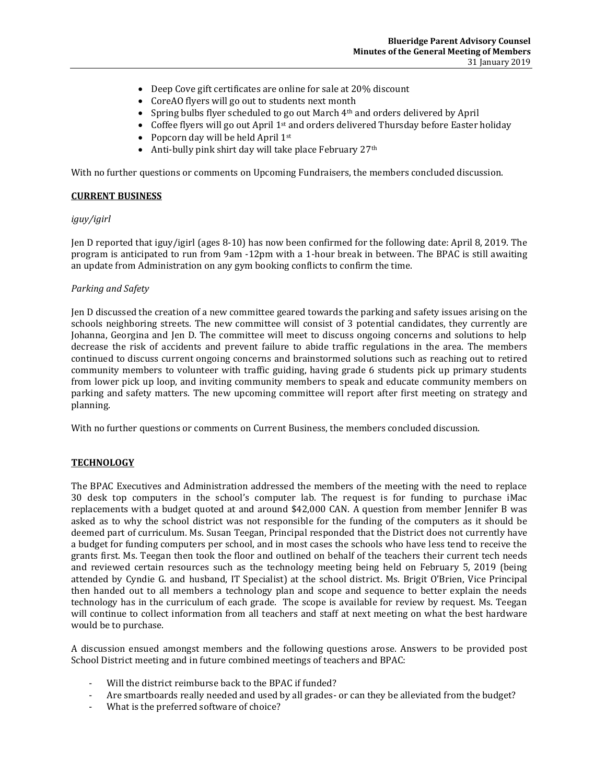- Deep Cove gift certificates are online for sale at 20% discount
- CoreAO flyers will go out to students next month
- Spring bulbs flyer scheduled to go out March 4<sup>th</sup> and orders delivered by April
- Coffee flyers will go out April  $1<sup>st</sup>$  and orders delivered Thursday before Easter holiday
- Popcorn day will be held April  $1^{st}$
- Anti-bully pink shirt day will take place February  $27<sup>th</sup>$

With no further questions or comments on Upcoming Fundraisers, the members concluded discussion.

### **CURRENT BUSINESS**

#### *iguy/igirl*

Jen D reported that iguy/igirl (ages 8-10) has now been confirmed for the following date: April 8, 2019. The program is anticipated to run from 9am -12pm with a 1-hour break in between. The BPAC is still awaiting an update from Administration on any gym booking conflicts to confirm the time.

### *Parking and Safety*

Jen D discussed the creation of a new committee geared towards the parking and safety issues arising on the schools neighboring streets. The new committee will consist of 3 potential candidates, they currently are Johanna, Georgina and Jen D. The committee will meet to discuss ongoing concerns and solutions to help decrease the risk of accidents and prevent failure to abide traffic regulations in the area. The members continued to discuss current ongoing concerns and brainstormed solutions such as reaching out to retired community members to volunteer with traffic guiding, having grade 6 students pick up primary students from lower pick up loop, and inviting community members to speak and educate community members on parking and safety matters. The new upcoming committee will report after first meeting on strategy and planning.

With no further questions or comments on Current Business, the members concluded discussion.

## **TECHNOLOGY**

The BPAC Executives and Administration addressed the members of the meeting with the need to replace 30 desk top computers in the school's computer lab. The request is for funding to purchase iMac replacements with a budget quoted at and around \$42,000 CAN. A question from member Jennifer B was asked as to why the school district was not responsible for the funding of the computers as it should be deemed part of curriculum. Ms. Susan Teegan, Principal responded that the District does not currently have a budget for funding computers per school, and in most cases the schools who have less tend to receive the grants first. Ms. Teegan then took the floor and outlined on behalf of the teachers their current tech needs and reviewed certain resources such as the technology meeting being held on February 5, 2019 (being attended by Cyndie G. and husband, IT Specialist) at the school district. Ms. Brigit O'Brien, Vice Principal then handed out to all members a technology plan and scope and sequence to better explain the needs technology has in the curriculum of each grade. The scope is available for review by request. Ms. Teegan will continue to collect information from all teachers and staff at next meeting on what the best hardware would be to purchase.

A discussion ensued amongst members and the following questions arose. Answers to be provided post School District meeting and in future combined meetings of teachers and BPAC:

- Will the district reimburse back to the BPAC if funded?
- Are smartboards really needed and used by all grades- or can they be alleviated from the budget?
- What is the preferred software of choice?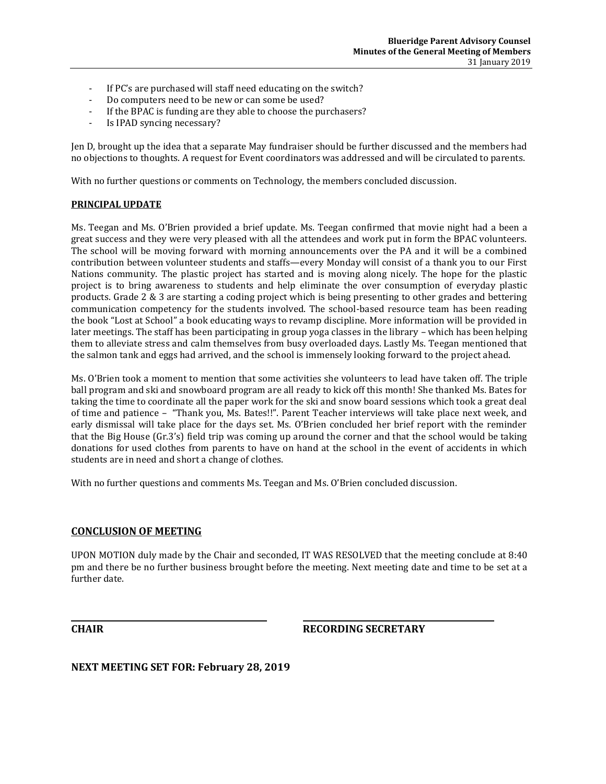- If PC's are purchased will staff need educating on the switch?
- Do computers need to be new or can some be used?
- If the BPAC is funding are they able to choose the purchasers?
- Is IPAD syncing necessary?

Jen D, brought up the idea that a separate May fundraiser should be further discussed and the members had no objections to thoughts. A request for Event coordinators was addressed and will be circulated to parents.

With no further questions or comments on Technology, the members concluded discussion.

## **PRINCIPAL UPDATE**

Ms. Teegan and Ms. O'Brien provided a brief update. Ms. Teegan confirmed that movie night had a been a great success and they were very pleased with all the attendees and work put in form the BPAC volunteers. The school will be moving forward with morning announcements over the PA and it will be a combined contribution between volunteer students and staffs—every Monday will consist of a thank you to our First Nations community. The plastic project has started and is moving along nicely. The hope for the plastic project is to bring awareness to students and help eliminate the over consumption of everyday plastic products. Grade 2 & 3 are starting a coding project which is being presenting to other grades and bettering communication competency for the students involved. The school-based resource team has been reading the book "Lost at School" a book educating ways to revamp discipline. More information will be provided in later meetings. The staff has been participating in group yoga classes in the library – which has been helping them to alleviate stress and calm themselves from busy overloaded days. Lastly Ms. Teegan mentioned that the salmon tank and eggs had arrived, and the school is immensely looking forward to the project ahead.

Ms. O'Brien took a moment to mention that some activities she volunteers to lead have taken off. The triple ball program and ski and snowboard program are all ready to kick off this month! She thanked Ms. Bates for taking the time to coordinate all the paper work for the ski and snow board sessions which took a great deal of time and patience – "Thank you, Ms. Bates!!". Parent Teacher interviews will take place next week, and early dismissal will take place for the days set. Ms. O'Brien concluded her brief report with the reminder that the Big House (Gr.3's) field trip was coming up around the corner and that the school would be taking donations for used clothes from parents to have on hand at the school in the event of accidents in which students are in need and short a change of clothes.

With no further questions and comments Ms. Teegan and Ms. O'Brien concluded discussion.

## **CONCLUSION OF MEETING**

UPON MOTION duly made by the Chair and seconded, IT WAS RESOLVED that the meeting conclude at 8:40 pm and there be no further business brought before the meeting. Next meeting date and time to be set at a further date.

**CHAIR RECORDING SECRETARY**

**NEXT MEETING SET FOR: February 28, 2019**